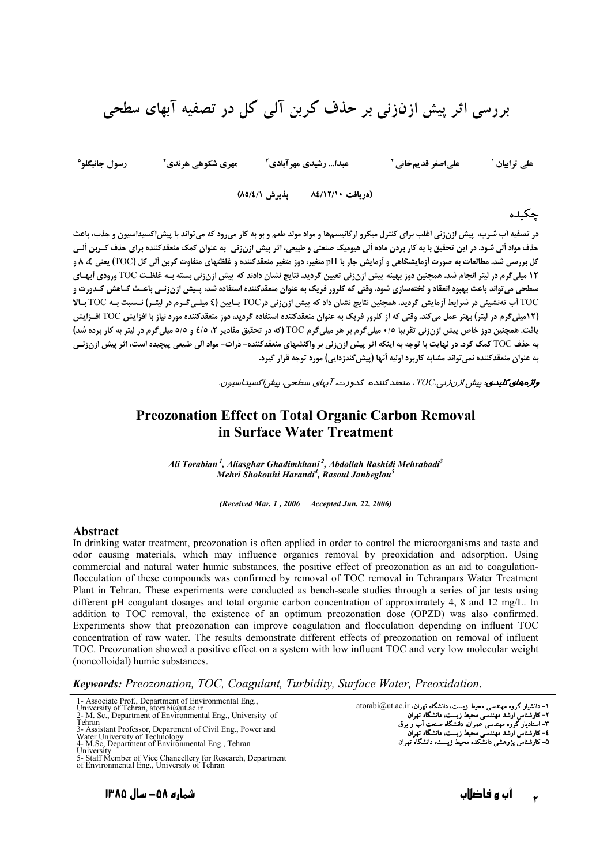## بررسی اثر پیش ازنزنی بر حذف کربن آلی کل در تصفیه آبهای سطحی

رسول جانبگلو<sup>ه</sup> علىاصغر قديمخانى ` علی ترابیان ` مهري شكوهي هرندي<sup>٢</sup> عبدا... رشیدی مهر آبادی آ

(دريافت ٨٤/١٢/١٠ - پذيرش ٨٥/٤/١)

## چکیده

در تصفیه آب شرب، پیش ازنزنی اغلب برای کنترل میکرو ارگانیسمها و مواد مولد طعم و بو به کار میرود که می تواند با پیش اکسیداسیون و جذب، باعث حذف مواد ألی شود. در این تحقیق با به کار بردن ماده ألی هیومیک صنعتی و طبیعی، اثر پیش ازنزنی به عنوان کمک منعقدکننده برای حذف کـربن ألـی کل بررسی شد. مطالعات به صورت ازمایشگاهی و ازمایش جار با pH متغیر، دوز متغیر منعقدکننده و غلظتهای متفاوت کربن الی کل (TOC) یعنی ٤، ٨ و 12 میلیگرم در لیتر انجام شد. همچنین دوز بهینه پیش ازن;نی تعیین گردید. نتایج نشان دادند که پیش ازن;نی بسته بـه غلظـت TOC ورودی أبهـای سطحي مي تواند باعث بهبود انعقاد و لختهسازي شود. وقتي كه كلرور فريك به عنوان منعقدكننده استفاده شد، پـيش ازن;نـي باعـث كـاهش كـدورت و TOC آب تهنشینی در شرایط آزمایش گردید. همچنین نتایج نشان داد که پیش ازن;نی درTOC پـایین (٤ میلـیگـرم در لیتـر) نـسبت بـه TOC بـالا (۱۲میلیگرم در لیتر) بهتر عمل میکند. وقتی که از کلرور فریک به عنوان منعقدکننده استفاده گردید، دوز منعقدکننده مورد نیاز با افزایش TOC افـزایش یافت. همچنین دوز خاص پیش ازنزنی تقریبا ۰/٥ میلیگرم بر هر میلیگرم TOC (که در تحقیق مقادیر ۲، ۶/٥ و ۶/٥ میلیگرم در لیتر به کار برده شد) به حذف TOC کمک کرد. در نهایت با توجه به اینکه اثر پیش ازن;نی بر واکنشهای منعقدکننده- ذرات- مواد آلی طبیعی پیچیده است، اثر پیش ازن;ن*ی* به عنوان منعقدکننده نمی تواند مشابه کاربرد اولیه اَنـها (پیش ِگندزدایی) مورد توجه قرار گیرد.

**واژههای کلیدی**: بیش ا*زرنزنی، TOC*، منعقد کننده، کدورت، *آبهای* س*طحی، بیش اکسیداسیون.* 

## **Preozonation Effect on Total Organic Carbon Removal** in Surface Water Treatment

Ali Torabian<sup>1</sup>, Aliasghar Ghadimkhani<sup>2</sup>, Abdollah Rashidi Mehrabadi<sup>3</sup> Mehri Shokouhi Harandi<sup>4</sup>, Rasoul Janbeglou<sup>5</sup>

(Received Mar. 1, 2006 Accepted Jun. 22, 2006)

## Abstract

In drinking water treatment, preozonation is often applied in order to control the microorganisms and taste and odor causing materials, which may influence organics removal by preoxidation and adsorption. Using commercial and natural water humic substances, the positive effect of preozonation as an aid to coagulationflocculation of these compounds was confirmed by removal of TOC removal in Tehranpars Water Treatment Plant in Tehran. These experiments were conducted as bench-scale studies through a series of jar tests using different pH coagulant dosages and total organic carbon concentration of approximately 4, 8 and 12 mg/L. In addition to TOC removal, the existence of an optimum preozonation dose (OPZD) was also confirmed. Experiments show that preozonation can improve coagulation and flocculation depending on influent TOC concentration of raw water. The results demonstrate different effects of preozonation on removal of influent TOC. Preozonation showed a positive effect on a system with low influent TOC and very low molecular weight (noncolloidal) humic substances.

Keywords: Preozonation, TOC, Coagulant, Turbidity, Surface Water, Preoxidation.

۱- دانشیار گروه مهندسی محیط زیست، دانشگاه تهران، atorabi@ut.ac.ir ٢- كارشناس ارشد مهندسى محيط زيست، دانشگاه تهران ۳- استادیار کروه مهندسی عمران، دانشگاه صنعت آب و برق 

شماره ۵۸– سال ۱۳۸۵

<sup>1-</sup> Associate Prof., Department of Environmental Eng.,

 $\overline{u}$ <br> $\overline{u}$ <br> $\overline{u}$ <br> $\overline{u}$  $\alpha$  is<br>the set of Tehran, atorabi@ut.ac.ir<br>- M. Sc., Department of Environmental Eng., University of

Tehran

Figure<br>3- Assistant Professor, Department of Civil Eng., Power and<br>Water University of Technology<br>4- M.Sc, Department of Environmental Eng., Tehran

 $\frac{4 \text{ M.Sc}}{\text{University}}$ 

University<br>5- Staff Member of Vice Chancellery for Research, Department<br>of Environmental Eng., University of Tehran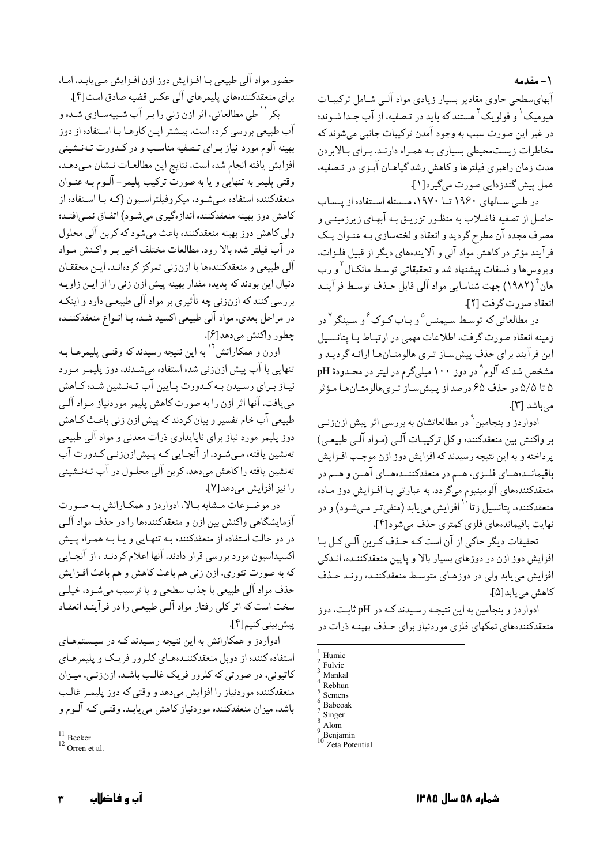١- مقدمه

آبھای سطحی جاوی مقادیر بسیار زیادی مواد آلبے شیامل ترکیبیات هیومیک<sup>۱</sup> و فولویک<sup>۲</sup> هستند که باید در تصفیه، از آب جـدا شـوند؛ در غير اين صورت سبب به وجود آمدن تركيبات جانبي مي شوند كه مخاطرات زیستمحیطی بسیاری بـه همـراه دارنـد. بـرای بـالابردن مدت زمان راهبری فیلترها و کاهش رشد گیاهـان آبـزی در تـصفیه، عمل پيش گندزدايي صورت مي گيرد[١].

در طبی سیالهای ۱۹۶۰ تیا ۱۹۷۰، میسئله استفاده از پیساب حاصل از تصفیه فاضلاب به منظـور تزریـق بـه آبهـای زیرزمینـی و مصرف مجدد آن مطرح گردید و انعقاد و لختهسازی بـه عنـوان یـک فرآیند مؤثر در کاهش مواد آلی و آلایندههای دیگر از قبیل فلـزات، ويروسها و فسفات پيشنهاد شد و تحقيقاتي توسط مانكـال ّ و رب هان ٔ (۱۹۸۲) جهت شناسایی مواد آلی قابل حـذف توسـط فرآینـد انعقاد صورت گرفت [٢].

در مطالعاتی که توسط سیمنس <sup>۵</sup>و بـاب کـوک ٔ و سـینگر <sup>۷</sup>در زمینه انعقاد صورت گرفت، اطلاعات مهمی در ارتباط بـا پتانـسیل این فر آیند برای حذف پیش ساز تیری هالومتیان هیا ارائیه گردیید و مشخص شد که آلوم <sup>۸</sup> در دوز ۱۰۰ میل<sub>ه </sub>گرم در لیتر در محـدودهٔ pH ۵ تا ۵/۵ در حذف ۶۵ درصد از پیش ساز تیری هالومتیان هیا میؤثر می باشد [۳].

ادواردز و بنجامین<sup>۹</sup> در مطالعاتشان به بررسی اثر پیش ازنزنی بر واكنش بين منعقدكننده وكل تركيبـات آلـي (مـواد آلـي طبيعـي) پرداخته و به این نتیجه رسیدند که افزایش دوز ازن موجب افـزایش باقیمانــدهــای فلــزی، هــم در منعقدکننــدهــای آهــن و هــم در منعقدکنندههای آلومینیوم میگردد. به عبارتی بـا افـزایش دوز مـاده منعقدکننده، يتانسيل زتاً ` افزايش مي يابد (منفي تـر مـيشـود) و در نهايت باقيماندههاي فلزي كمترى حذف مي شود[۴].

تحقیقات دیگر حاکی از آن است کـه حـذف کـربن آلـی کـل بـا افزایش دوز ازن در دوزهای بسیار بالا و پایین منعقدکننـده، انـدکی افزایش می یابد ولی در دوزهـای متوسـط منعقدکننـده رونـد حـذف كاهش مى بايد[۵].

ادواردز و بنجامین به این نتیجـه رسـیدند کـه در pH ثابـت، دوز منعقدکنندههای نمکهای فلزی موردنیاز برای حـذف بهینـه ذرات در

حضور مواد آلي طبيعي بـا افـزايش دوز ازن افـزايش مـي يابـد. امـا، براي منعقدكنندههاي يليمرهاي آلي عكس قضيه صادق است[۴].

بکر <sup>۱۱</sup> طي مطالعاتي، اثر ازن زني را بـر آب شـبيهسـازي شـده و آب طبیعی بررسی کرده است. بیـشتر ایـن کارهـا بـا اسـتفاده از دوز بهینه آلوم مورد نیاز بـرای تـصفیه مناسـب و در کـدورت تـهنـشینی افزايش يافته انجام شده است. نتايج اين مطالعـات نـشان مـىدهـد. وقتي پليمر به تنهايي و يا به صورت ترکيب پليمر – آلـوم بـه عنـوان منعقدکننده استفاده مے شـود، میکروفیلتراسـیون (کـه بـا اسـتفاده از كاهش دوز بهينه منعقدكننده اندازهگيري مي شـود) اتفـاق نمـي|فتـد؛ ولي كاهش دوز بهينه منعقدكننده باعث مي شود كه كربن آلي محلول در آب فیلتر شده بالا رود. مطالعات مختلف اخیر بـر واکـنش مـواد آلی طبیعی و منعقدکنندهها با ازنزنی تمرکز کردهانـد. ایـن محققـان دنبال این بودند که پدیده مقدار بهینه پیش ازن زنی را از ایـن زاویـه بررسی کنند که ازنزنی چه تأثیری بر مواد آلی طبیعی دارد و اینکـه در مراحل بعدي، مواد آلي طبيعي اكسيد شـده بـا انـواع منعقدكننـده چطور واكنش مى،دهد[۶].

اورن و همکارانش<sup>۱۲</sup> به این نتیجه رسیدند که وقتـی پلیمرهـا بـه تنهایی با آب پیش ازنزنی شده استفاده میشدند، دوز پلیمـر مـورد نیـاز بـرای رسـیدن بـه کـدورت پـایین آب تـهنـشین شـده کـاهش مي يافت. آنها اثر ازن را به صورت كاهش يليمر موردنياز مـواد آلـي طبیعی آب خام تفسیر و بیان کردند که پیش ازن زنی باعث کـاهش دوز پلیمر مورد نیاز برای ناپایداری ذرات معدنی و مواد آلی طبیعی تەنشین یافتە، مىيشود. از آنجايى كـه پـيش|زنزنـى كـدورت آب تەنشين يافتە راكاھش مىدھد، كرېن آلى محلـول در آب تـەنـشينى را نيز افزايش مىدهد[٧].

در موضوعات مشابه بالا، ادواردز و همكارانش به صورت آزمایشگاهی واکنش بین ازن و منعقدکنندهها را در حذف مواد آلبی در دو حالت استفاده از منعقدکننده بـه تنهـايي و يـا بـه همـراه يـيش اکسیداسیون مورد بررسی قرار دادند. آنها اعلام کردنـد ، از آنجـایی كه به صورت تئوري، ازن زني هم باعث كاهش و هم باعث افـزايش حذف مواد آلي طبيعي با جذب سطحي و يا ترسيب مي شـود، خيلـي سخت است که اثر کلی رفتار مواد آلبی طبیعی را در فرآینـد انعقـاد ييش بيني كنيم [۴].

ادواردز و همکارانش به این نتیجه رسیدند کـه در سیـستمهـای استفاده کننده از دوبل منعقدکننـدههـای کلـرور فریـک و پلیمرهـای کاتیونی، در صورتی که کلرور فریک غالب باشـد، ازنزنـی، میـزان منعقدکننده موردنیاز را افزایش میدهد و وقتی که دوز پلیمـر غالـب باشد، میزان منعقدکننده موردنیاز کاهش می پابـد. وقتـبی کـه آلـوم و

Humic

Fulvic Mankal

Rebhun

Semens

Babcoak

Singer

Alom

 $\sum_{10}^{\infty}$ Benjamin

Zeta Potential

 $\overline{\phantom{1}}$  Becker

 $12$  Orren et al.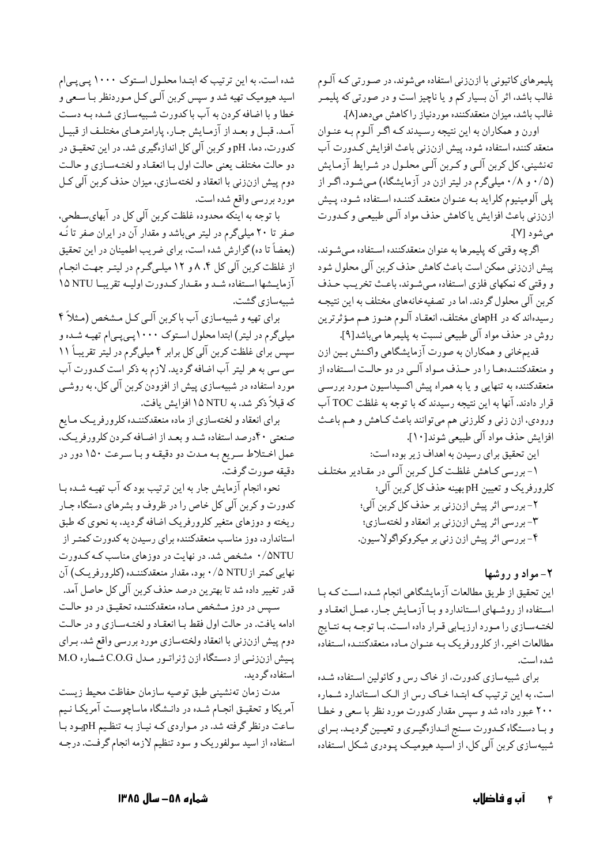پلیمرهای کاتیونی با ازنزنی استفاده میشوند، در صـورتی کـه الـوم غالب باشد. اثر ان بسیار کم و یا ناچیز است و در صورتی که پلیمـر غالب باشد، میزان منعقدکننده موردنیاز را کاهش میدهد[۸].

اورن و همکاران به این نتیجه رسـیدند کـه اگـر الـوم بـه عنـوان منعقد کننده استفاده شود، پیش ازنزنی باعث افزایش کـدورت اب تهنشینی، کل کربن الـی و کـربن الـی محلـول در شـرایط ازمـایش (۰/۵ و ۰/۸ میلیگرم در لیتر ازن در ازمایشگاه) مـیشـود. اگـر از پلی الومینیوم کلراید بـه عنـوان منعقـد کننـده اسـتفاده شـود، پـیش ازنزني باعث افزايش ياكاهش حذف مواد الـي طبيعـي و كـدورت مي شو د [۷].

اگرچه وقتی که پلیمرها به عنوان منعقدکننده استفاده مـیشـوند. پیش ازنزنی ممکن است باعث کاهش حذف کربن الی محلول شود و وقتی که نمکهای فلزی اسـتفاده مـیشـوند. باعـث تخریـب حـذف کربن الی محلول گردند. اما در تصفیهخانههای مختلف به این نتیجـه رسیدهاند که در pHهای مختلف، انعقـاد الـوم هنـوز هـم مـؤثرترين روش در حذف مواد الی طبیعی نسبت به پلیمرها میباشد[۹].

قدیمخانی و همکاران به صورت ازمایشگاهی واکـنش بـین ازن و منعقدکننــدهــا را در حــذف مــواد الــى در دو حالــت اســتفاده از منعقدکننده به تنهایی و یا به همراه پیش اکسیداسیون مـورد بررسـی قرار دادند. انها به این نتیجه رسیدند که با توجه به غلظت TOC اب ورودي، ازن زني و كلرزني هم ميتوانند باعث كـاهش و هـم باعـث افزايش حذف مواد الى طبيعي شوند[١٠].

این تحقیق برای رسیدن به اهداف زیر بوده است: ۱- بررسی کـاهش غلظـت کـل کـربن الـی در مقـادیر مختلـف كلرورفريك و تعيين pH بهينه حذف كل كربن الى؛ ۲- بررسی اثر پیش ازنزنی بر حذف کل کربن الی؛ ۳- بررسي اثر پيش ازنزني بر انعقاد و لختهسازي؛ ۴- بررسي اثر پيش ازن زني بر ميكروكواگولاسيون.

**۲**– مواد و روشها

این تحقیق از طریق مطالعات ازمایشگاهی انجام شـده اسـت کـه بـا اسـتفاده از روشـهاي اسـتاندارد و بـا ازمـايش جـار، عمـل انعقـاد و لختـهسـازي را مـورد ارزيـابي قـرار داده اسـت. بـا توجـه بـه نتـايج مطالعات اخیر، از کلرورفریک بـه عنـوان مـاده منعقدکننـده اسـتفاده شده است.

برای شبیهسازی کدورت، از خاک رس و کائولین اسـتفاده شـده است، به این ترتیب کـه ابتـدا خـاک رس از الـک اسـتاندارد شـماره ۲۰۰ عبور داده شد و سپس مقدار کدورت مورد نظر با سعی و خطـا و بـا دســتگاه كــدورت ســنج انــدازهگيــري و تعيــين گرديــد. بــراي شبیهسازی کربن الی کل، از اسـید هیومیــک پـودری شـکل اسـتفاده

شده است. به این ترتیب که ابتـدا محلـول اسـتوک ۱۰۰۰ پـیپـیام اسید هیومیک تهیه شد و سپس کربن الـی کـل مـوردنظر بـا سـعی و خطا و با اضافه کردن به اب با کدورت شـبیهسـازی شـده بـه دسـت امـد. قبــل و بعــد از ازمــايش جــار، پارامترهــاي مختلــف از قبيــل کدورت، دما، pH و کربن الی کل اندازهگیری شد. در این تحقیـق در دو حالت مختلف يعني حالت اول بـا انعقـاد و لختـهسـازي و حالـت دوم پیش ازنزنی با انعقاد و لختهسازی، میزان حذف کربن الی کـل مورد بررسي واقع شده است.

ا توجه به اینکه محدوده غلظت کربن الی کل در ابهایسـطحی.  $\ddot{\cdot}$ صفر تا ۲۰ میلیگرم در لیتر میباشد و مقدار ان در ایران صفر تا نـه (بعضا تا ده) گزارش شده است، برای ضریب اطمینان در این تحقیق از غلظت کربن الی کل ۴. ۸ و ۱۲ میلـیگـرم در لیتـر جهـت انجـام ازمایــشها اســتفاده شــد و مقــدار كــدورت اولیــه تقریبــا NA NTU د شبیهسازی گشت.

برای تهیه و شبیهسازی اب باکربن الـی کـل مـشخص (مـثلاً ۴ میلیگرم در لیتر) ابتدا محلول اسـتوک ۱۰۰۰پـی.پـیام تهیـه شـده و سپس برای غلظت کربن الی کل برابر ۴ میلیگرم در لیتر تقریبــاً ۱۱ سی سی به هر لیتر اب اضافه گردید. لازم به ذکر است کـدورت اب مورد استفاده در شبیهسازی پیش از افزودن کربن الی کل، به روشـی که قبلاً ذکر شد، به NTU ۱۵ افزایش یافت.

برای انعقاد و لختهسازی از ماده منعقدکننـده کلرورفریـک مـایع صنعتی ۴۰درصد استفاده شـد و بعـد از اضـافه كـردن كلرورفريـك. عمل اخــتلاط سـريع بــه مــدت دو دقيقــه و بــا سـرعت ١۵٠ دور در دقيقه صورت گرفت.

نحوه انجام ازمایش جار به این ترتیب بود که اب تهیـه شـده بـا کدورت و کربن الی کل خاص را در ظروف و بشرهای دستگاه جـار ریخته و دوزهای متغیر کلرورفریک اضافه گردید. به نحوی که طبق استاندارد، دوز مناسب منعقدکننده برای رسیدن به کدورت کمتـر از ۸NTU/۰ مشخص شد. در نهایت در دوزهای مناسب کـه کـدورت نهایی کمتر از NTU ۰/۵ بود. مقدار منعقدکننـده (کلرورفریـک) ان قدر تغییر داده شد تا بهترین درصد حذف کربن الی کل حاصل امد.

سپس در دوز مـشخص مـاده منعقدکننـده تحقيـق در دو حالـت ادامه یافت. در حالت اول فقط بـا انعقـاد و لختـهسـازی و در حالـت دوم پیش ازنزنی با انعقاد ولختهسازی مورد بررسی واقع شد. بـرای پـیش ازنزنـی از دسـتگاه ازن ژنراتـور مـدل C.O.G شــماره M.O استفاده گرديد.

مدت زمان تەنشينى طبق توصيه سازمان حفاظت محيط زيست امریکا و تحقیـق انجـام شـده در دانـشگاه ماساچوسـت امریکـا نـیم ساعت درنظر گرفته شد. در مـواردي كـه نيـاز بـه تنظـيم pHبـود بـا استفاده از اسید سولفوریک و سود تنظیم لازمه انجام گرفت. درجـه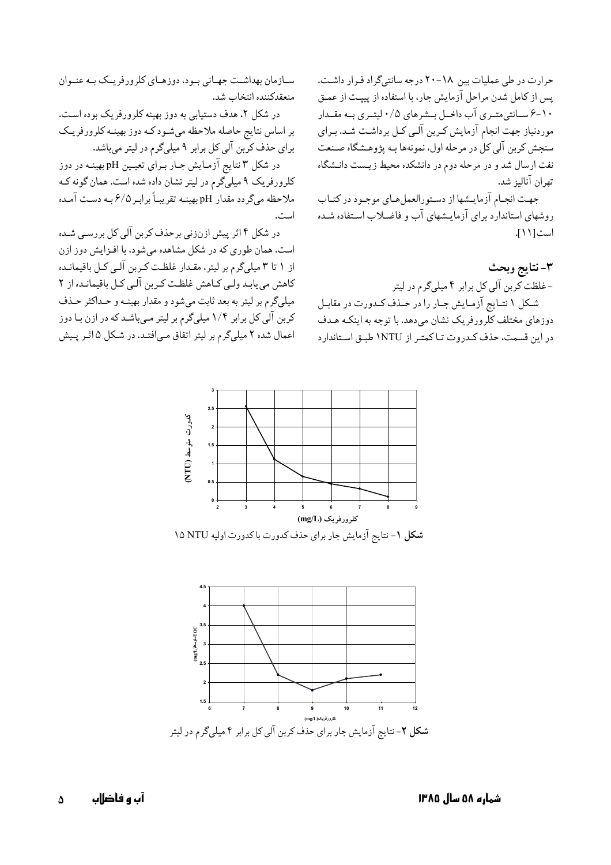حرارت در طی عملیات بین ۱۸–۲۰ درجه سانتیگراد قـرار داشـت. پس از کامل شدن مراحل ازمایش جار، با استفاده از پیپـت از عمـق ۰۱–۶ ســانتي،تــري اب داخــل بــشرهاي ۰/۵ ليتــري بــه مقــدار موردنیاز جهت انجام ازمایش کـربن الـی کـل برداشـت شـد. بـرای سنجش کربن الی کل در مرحله اول، نمونهها بـه پژوهـشگاه صـنعت نفت ارسال شد و در مرحله دوم در دانشکده محیط زیـست دانـشگاه تهران اناليز شد.

جهت انجـام ازمايــشها از دسـتورالعملهـاي موجـود در كتـاب روشهای استاندارد برای ازمایـشهای اب و فاضـلاب اسـتفاده شـده است[١١].

**٣**- نتايج وبحث - غلظت کربن الی کل برابر ۴ میلیگرم در لیتر شکل ۱ نتـایج ازمـایش جـار را در حـذف کـدورت در مقابـل دوزهای مختلف کلرورفریک نشان میدهد. با توجه به اینکـه هـدف در این قسمت، حذف کـدروت تـا کمتـر از NTU\ طبـق اسـتاندارد

**0 0.5 1 1.5 2 2.5 3 23456789 (mg/L)%&'()\*'+, (mg/L) !
 "** کدورت متوسط **(N T U)**

**شکل ۱**- نتایج آزمایش جار برای حذف کدورت با کدورت اولیه NO NTU ۱۵



شماره ۵۸ **س** 

سـازمان بهداشــت جهـاني بــود، دوزهــاي كلرورفريــك بــه عنــوان منعقدكننده انتخاب شد.

در شکل ۲. هدف دستیابی به دوز بهینه کلرورفریک بوده است. بر اساس نتایج حاصله ملاحظه میشـود کـه دوز بهینــه کلرورفریــک برای حذف کربن الی کل برابر ۹ میلیگرم در لیتر میباشد.

در شکل ۳ نتایج ازمـایش جـار بـرای تعیـین pH بهینـه در دوز کلرورفریک ۹ میلیگرم در لیتر نشان داده شده است. همان گونه کـه ملاحظه میگردد مقدار pH بهینــه تقریبــاً برابـر ۶/۵ بــه دســت آمــده است.

در شکل ۴ اثر پیش ازنزنی برحذف کربن الی کل بررسـی شـده است. همان طوری که در شکل مشاهده میشود، با افــزایش دوز ازن از ۱ تا ۳ میلیگرم بر لیتر، مقـدار غلظـت کـربن الـی کـل باقیمانـده کاهش می یابـد ولـی کــاهش غلظـت کــربن الـی کــل باقیمانــده از ۲ میلیگرم بر لیتر به بعد ثابت میشود و مقدار بهینـه و حـداکثر حـذف کربن الی کل برابر ۱/۴ میلیگرم بر لیتر مـیباشـد که در ازن بـا دوز اعمال شده ۲ میلیگرم بر لیتر اتفاق مـیافتـد. در شـکل ۵ اثـر پـیش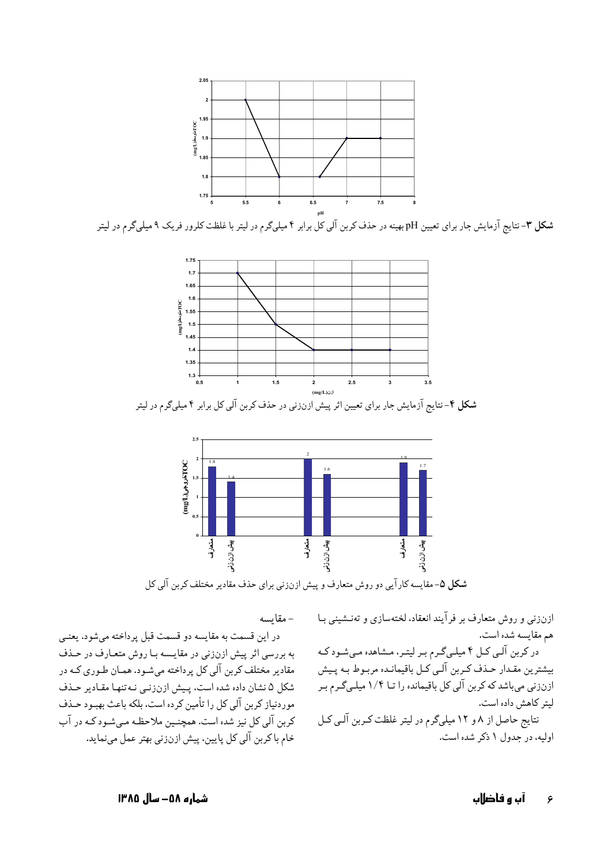

شکل ۳- نتایج آزمایش جار برای تعیین pH بهینه در حذف کربن آلی کل برابر ۴ میلیگرم در لیتر با غلظت کلرور فریک ۹ میلیگرم در لیتر



**شکل ۴**– نتایج ازمایش جار برای تعیین اثر پیش ازنزنی در حذف کربن الی کل برابر ۴ میلیگرم در لیتر



**شکل ۵**– مقایسه کار ایی دو روش متعارف و پیش ازنزنی برای حذف مقادیر مختلف کربن الی کل

– مقايسه

ازنزنی و روش متعارف بر فرایند انعقاد، لختهسازی و تهنـشینی بـا هم مقايسه شده است. در کربن الـی کـل ۴ میلـیگـرم بـر لیتـر، مـشاهده مـیشـود کـه يشترين مقـدار حـذف كـربن الـي كـل باقيمانـده مربـوط بـه پـيش  $\ddot{\cdot}$ ازنزنی میباشد که کربن الی کل باقیمانده را تــا ۱/۴ میلـیگـرم بـر یتر کاهش داده است. J نتایج حاصل از ۸ و ۱۲ میلیگرم در لیتر غلظت کـربن الـی کـل اولیه، در جدول ۱ ذکر شده است.

در این قسمت به مقایسه دو قسمت قبل پرداخته میشود. یعنـی به بررسی اثر پیش ازنزنی در مقایـسه بـا روش متعـارف در حـذف مقادیر مختلف کربن الی کل پرداخته میشـود. همـان طـوری کـه در شکل ۵ نشان داده شده است، پـیش ازنزنـی نـهتنهـا مقـادیر حـذف موردنیاز کربن الی کل را تامین کرده است، بلکه باعث بهبـود حـذف کربن الی کل نیز شده است. همچنـین ملاحظـه مـیشـود کـه در اب خام باكربن الي كل پايين، پيش ازنزني بهتر عمل مينمايد.

**ه ۵۸– سال ۱۳۸۵**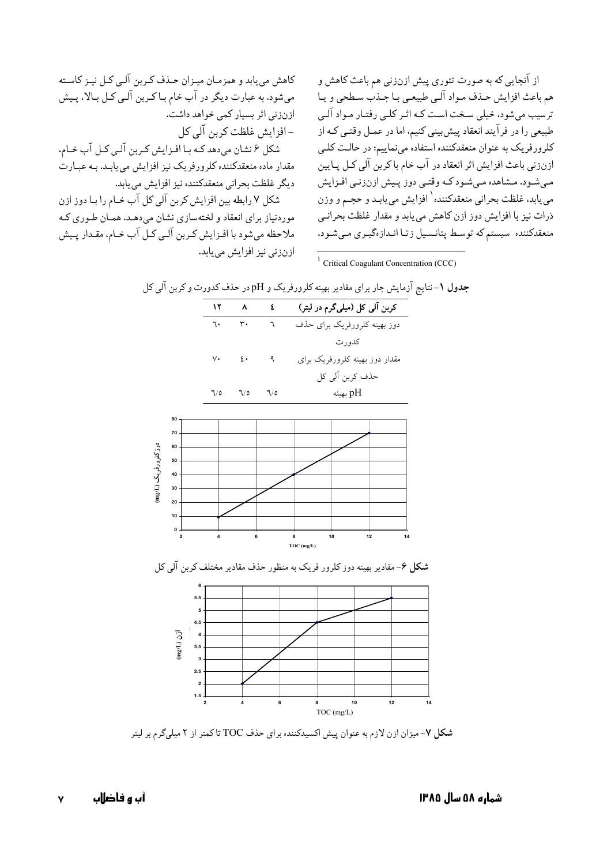از انجایی که به صورت تئوری پیش ازنزنی هم باعث کاهش و هم باعث افزایش حـذف مـواد الـي طبيعـي بـا جـذب سـطحي و يـا ترسیب میشود، خیلی سـخت اسـت کـه اثـر کلـی رفتـار مـواد الـی طبیعی را در فر ایند انعقاد پیش بینی کنیم، اما در عمـل وقتـی کـه از کلرورفریک به عنوان منعقدکننده استفاده مینماییم؛ در حالـت کلــی ازنزنی باعث افزایش اثر انعقاد در اب خام باکربن الی کـل پـایین مـیشـود. مـشاهده مـیشـود کـه وقتـی دوز پـیش ازنزنـی افـزایش می یابد، غلظت بحرانی منعقدکننده <sup>۱</sup> افزایش می یابـد و حجـم و وزن ذرات نیز با افزایش دوز ازن کاهش مییابد و مقدار غلظت بحرانــی منعقدکننده سیستم که توسط پتانـسیل زتـا انـدازهگیـری مـیشـود،

کاهش می یابد و همزمـان میـزان حـذف کـربن الـی کـل نیـز کاسـته میشود. به عبارت دیگر در اب خام بـاکـربن الـی کـل بـالا، پـیش ازنزنی اثر بسیار کمی خواهد داشت. – افزایش غلظت کرین آلی کل شکل ۶ نشان میدهد کــه بــا افــزایش کــربن الــی کــل اب خــام، مقدار ماده منعقدکننده کلرورفریک نیز افزایش می یابـد. بـه عبــارت دیگر غلظت بحرانی منعقدکننده نیز افزایش مییابد.

شکل ۷ رابطه بین افزایش کربن الی کل اب خـام را بـا دوز ازن موردنیاز برای انعقاد و لختهسازی نشان میدهـد. همـان طـوری کـه ملاحظه میشود با افـزایش کـربن الـی کـل اب خـام، مقـدار پـیش ازنزنی نیز افزایش مییابد.

<sup>1</sup> Critical Coagulant Concentration (CCC)



**شکل ۷**- میزان ازن لازم به عنوان پیش اکسیدکننده برای حذف TOC تاکمتر از ۲ میلیگرم بر لیتر

**7 أب و فاضلاب**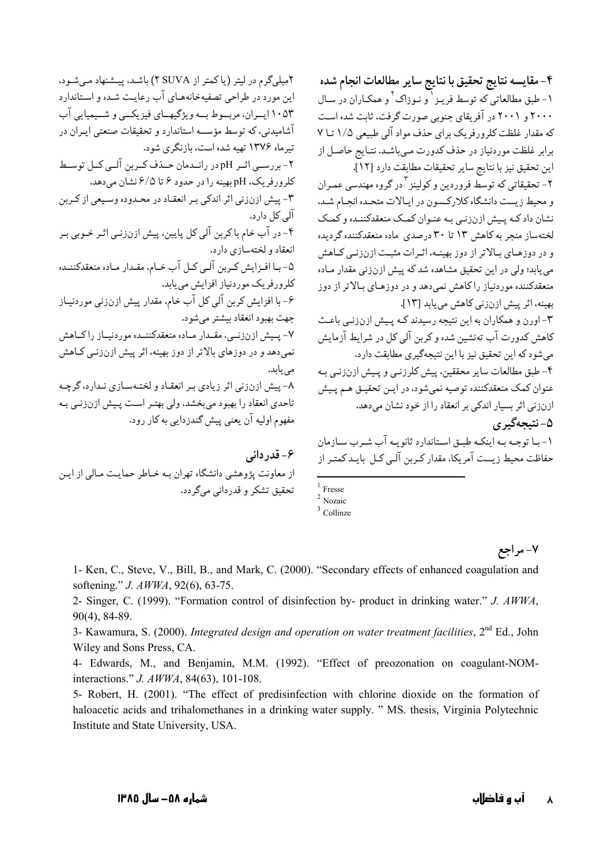این مورد در طراحی تصفیهخانههـای آب رعایـت شـده و اسـتاندارد ۱۰۵۳ ايسران، مربسوط بسه ويژگيههاي فيزيكسي و شسيميايي آب آشامیدنی، که توسط مؤسسه استاندار د و تحقیقات صنعتی ایران در تیرماه ۱۳۷۶ تهیه شده است، بازنگری شود. ۲- بررسـی اثـر pH در رانـدمان حـذف کـربن آلـی کـل توسـط کلرور فریک، pH بهبنه را در حدود ۶ تا ۶/۵ نشان می دهد. ٣- پيش ازنزني اثر اندكي بير انعقـاد در محـدوده وسـيعي از كـربن آلی کل دار د. ۴- در آب خام باکربن آلی کل پایین، پیش ازنزنـی اثـر خـوبی بـر انعقاد و لختهسازی دارد. ۵- بـا افـزايش كـربن آلـي كـل آب خـام، مقـدار مـاده منعقدكننـده کلرورفریک موردنیاز افزایش می یابد. ۶- با افزایش کربن آلی کل آب خام، مقدار پیش ازنزنی موردنیـاز جهت بهبود انعقاد بيشتر مى شود. ۷- پـیش ازنزنــی، مقــدار مــاده منعقدکننــده موردنیــاز راکــاهش نمی دهد و در دوزهای بالاتر از دوز بهینه، اثر پیش ازنزنـی کـاهش مے باند. ۸- پیش ازنزنی اثر زیادی بر انعقاد و لختـهسـازی نـدارد، گرچـه تاحدي انعقاد را بهبود مي بخشد، ولي بهتـر اسـت پـيش ازنززنـي بـه مفهوم اوليه آن يعني پيش گندزدايي به کار رود. ۶- قدر دانی از معاونت پژوهشی دانشگاه تهران بـه خـاطر حمایـت مـالی از ایـن تحقيق تشكر و قدرداني مي گردد.

۲میلیگرم در لیتر (یاکمتر از SUVA) باشد، پیشنهاد میشود.

۴- مقايسه نتايج تحقيق با نتايج ساير مطالعات انجام شده ۱- طبق مطالعاتی که توسط فرینز <sup>۱</sup> و نیوزاک <sup>۲</sup> و همکیاران در سیال ۲۰۰۰ و ۲۰۰۱ در آفریقای جنوبی صورت گرفت، ثابت شده است که مقدار غلظت کلرورفریک برای حذف مواد آلی طبیعی ۱/۵ تــا ۷ برابر غلظت موردنیاز در حذف کدورت مـیباشـد. نتـایج حاصـل از اين تحقيق نيز با نتايج ساير تحقيقات مطابقت دارد [١٢].

۲- تحقیقاتی که توسط فروردین و کولینز <sup>۳</sup> در گروه مهندسی عمـران و محیط زیست دانشگاه کلارکسون در ایالات متحـده انجـام شـد، نشان داد کـه پـیش ازنزنـي بـه عنـوان کمـک منعقدکننـده و کمـک لختهساز منجر به کاهش ۱۳ تا ۳۰ درصدی ماده منعقدکننده گردیده و در دوزهای بالاتر از دوز بهینـه، اثـرات مثبـت ازنزنـی كـاهش می یابد؛ ولی در این تحقیق مشاهده شد که پیش ازنزنی مقدار مـاده منعقدکننده موردنیاز راکاهش نمی دهد و در دوزهـای بـالاتر از دوز بهينه، اثر پيش ازنزني كاهش مي يابد [١٣].

۳- اورن و همکاران به این نتیجه رسیدند کـه پییش ازنزنی باعث کاهش کدورت آب تەنشىن شده و کرىن آلى کل در شرايط آزمايش می شود که این تحقیق نیز یا این نتیجهگیری مطابقت دارد. ۴- طبق مطالعات سایر محققین، پیش کلرزنبی و پـیش ازنزنبی بـه عنوان كمك منعقدكننده توصيه نمىشود. در ايـن تحقيـق هـم پـيش ازنزنی اثر بسیار اندکی بر انعقاد را از خود نشان می دهد. ۵- نتىجەگىرى

١- با توجـه بـه اينكـه طبـق اسـتاندارد ثانويـه آب شـرب سـازمان حفاظت محیط زیست آمریکا، مقدار کـربن آلـی کـل بایـد کمتـر از

 $\frac{1}{2}$  Fresse<br><sup>2</sup> Nozaic  $3$  Collinze

۷- مراجع

1- Ken, C., Steve, V., Bill, B., and Mark, C. (2000). "Secondary effects of enhanced coagulation and softening." J. AWWA, 92(6), 63-75.

2- Singer, C. (1999). "Formation control of disinfection by- product in drinking water." J. AWWA,  $90(4)$ , 84-89.

3- Kawamura, S. (2000). Integrated design and operation on water treatment facilities, 2<sup>nd</sup> Ed., John Wiley and Sons Press, CA.

4- Edwards, M., and Benjamin, M.M. (1992). "Effect of preozonation on coagulant-NOMinteractions." J. AWWA, 84(63), 101-108.

5- Robert, H. (2001). "The effect of predisinfection with chlorine dioxide on the formation of haloacetic acids and trihalomethanes in a drinking water supply. " MS. thesis, Virginia Polytechnic Institute and State University, USA.